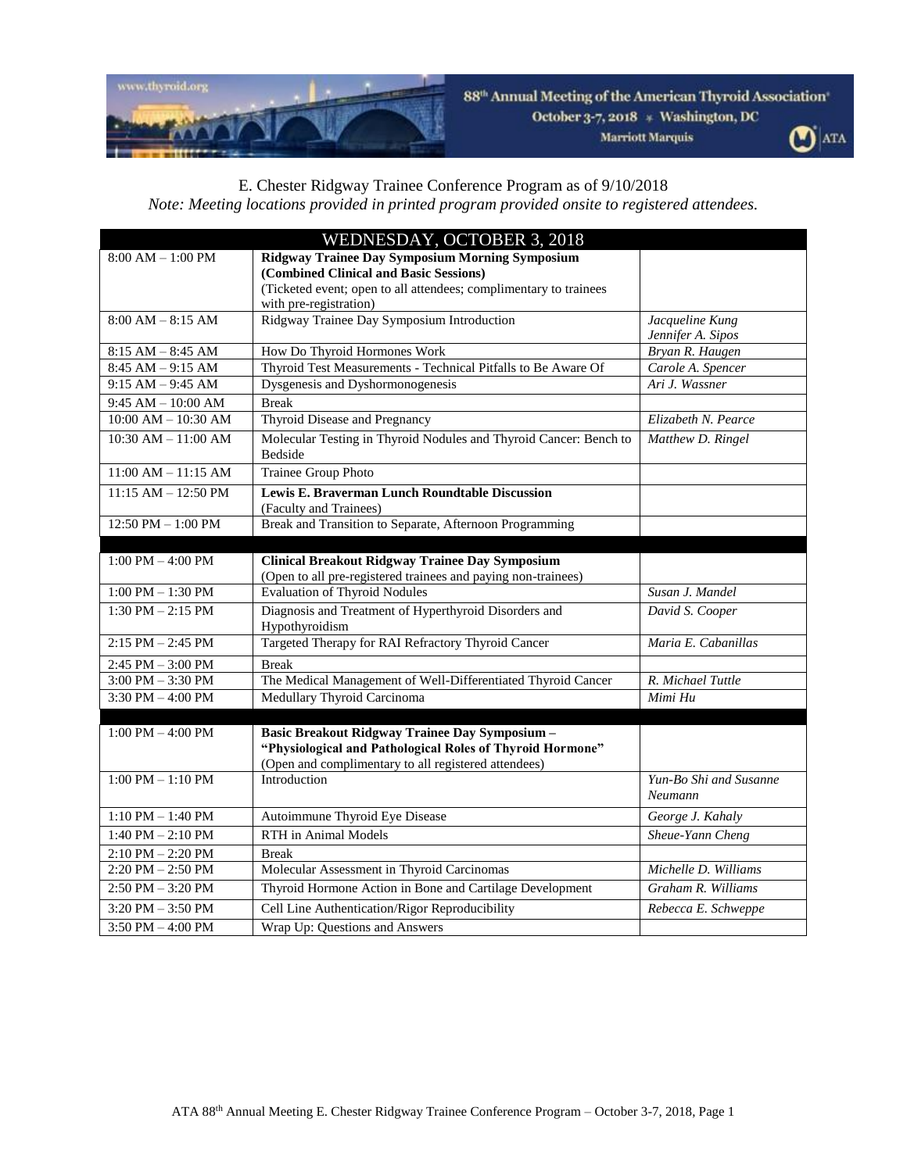

## 88<sup>th</sup> Annual Meeting of the American Thyroid Association

October 3-7, 2018 \* Washington, DC **Marriott Marquis** 

 $\mathbf{O}$  ATA

## E. Chester Ridgway Trainee Conference Program as of 9/10/2018

*Note: Meeting locations provided in printed program provided onsite to registered attendees.*

|                         | WEDNESDAY, OCTOBER 3, 2018                                                   |                        |
|-------------------------|------------------------------------------------------------------------------|------------------------|
| $8:00 AM - 1:00 PM$     | Ridgway Trainee Day Symposium Morning Symposium                              |                        |
|                         | (Combined Clinical and Basic Sessions)                                       |                        |
|                         | (Ticketed event; open to all attendees; complimentary to trainees            |                        |
| $8:00 AM - 8:15 AM$     | with pre-registration)<br>Ridgway Trainee Day Symposium Introduction         | Jacqueline Kung        |
|                         |                                                                              | Jennifer A. Sipos      |
| $8:15 AM - 8:45 AM$     | How Do Thyroid Hormones Work                                                 | Bryan R. Haugen        |
| $8:45 AM - 9:15 AM$     | Thyroid Test Measurements - Technical Pitfalls to Be Aware Of                | Carole A. Spencer      |
| $9:15 AM - 9:45 AM$     | Dysgenesis and Dyshormonogenesis                                             | Ari J. Wassner         |
| 9:45 AM $-$ 10:00 AM    | <b>Break</b>                                                                 |                        |
| $10:00$ AM $- 10:30$ AM | Thyroid Disease and Pregnancy                                                | Elizabeth N. Pearce    |
|                         |                                                                              |                        |
| $10:30$ AM $- 11:00$ AM | Molecular Testing in Thyroid Nodules and Thyroid Cancer: Bench to<br>Bedside | Matthew D. Ringel      |
| $11:00$ AM $- 11:15$ AM | Trainee Group Photo                                                          |                        |
| $11:15$ AM $- 12:50$ PM | Lewis E. Braverman Lunch Roundtable Discussion                               |                        |
|                         | (Faculty and Trainees)                                                       |                        |
| 12:50 PM $-$ 1:00 PM    | Break and Transition to Separate, Afternoon Programming                      |                        |
|                         |                                                                              |                        |
| $1:00$ PM $-4:00$ PM    | <b>Clinical Breakout Ridgway Trainee Day Symposium</b>                       |                        |
|                         | (Open to all pre-registered trainees and paying non-trainees)                |                        |
| $1:00$ PM $- 1:30$ PM   | <b>Evaluation of Thyroid Nodules</b>                                         | Susan J. Mandel        |
| $1:30$ PM $- 2:15$ PM   | Diagnosis and Treatment of Hyperthyroid Disorders and                        | David S. Cooper        |
|                         | Hypothyroidism                                                               |                        |
| $2:15$ PM $- 2:45$ PM   | Targeted Therapy for RAI Refractory Thyroid Cancer                           | Maria E. Cabanillas    |
| 2:45 PM - 3:00 PM       | <b>Break</b>                                                                 |                        |
| $3:00$ PM $-3:30$ PM    | The Medical Management of Well-Differentiated Thyroid Cancer                 | R. Michael Tuttle      |
| 3:30 PM $-$ 4:00 PM     | Medullary Thyroid Carcinoma                                                  | Mimi Hu                |
|                         |                                                                              |                        |
| $1:00$ PM $-$ 4:00 PM   | Basic Breakout Ridgway Trainee Day Symposium -                               |                        |
|                         | "Physiological and Pathological Roles of Thyroid Hormone"                    |                        |
|                         | (Open and complimentary to all registered attendees)                         |                        |
| $1:00$ PM $- 1:10$ PM   | Introduction                                                                 | Yun-Bo Shi and Susanne |
|                         |                                                                              | Neumann                |
| $1:10$ PM $- 1:40$ PM   | Autoimmune Thyroid Eye Disease                                               | George J. Kahaly       |
| $1:40$ PM $- 2:10$ PM   | <b>RTH</b> in Animal Models                                                  | Sheue-Yann Cheng       |
| $2:10$ PM $- 2:20$ PM   | <b>Break</b>                                                                 |                        |
| $2:20$ PM $- 2:50$ PM   | Molecular Assessment in Thyroid Carcinomas                                   | Michelle D. Williams   |
| $2:50$ PM $-3:20$ PM    | Thyroid Hormone Action in Bone and Cartilage Development                     | Graham R. Williams     |
| $3:20$ PM $-3:50$ PM    | Cell Line Authentication/Rigor Reproducibility                               | Rebecca E. Schweppe    |
| $3:50$ PM $-4:00$ PM    | Wrap Up: Questions and Answers                                               |                        |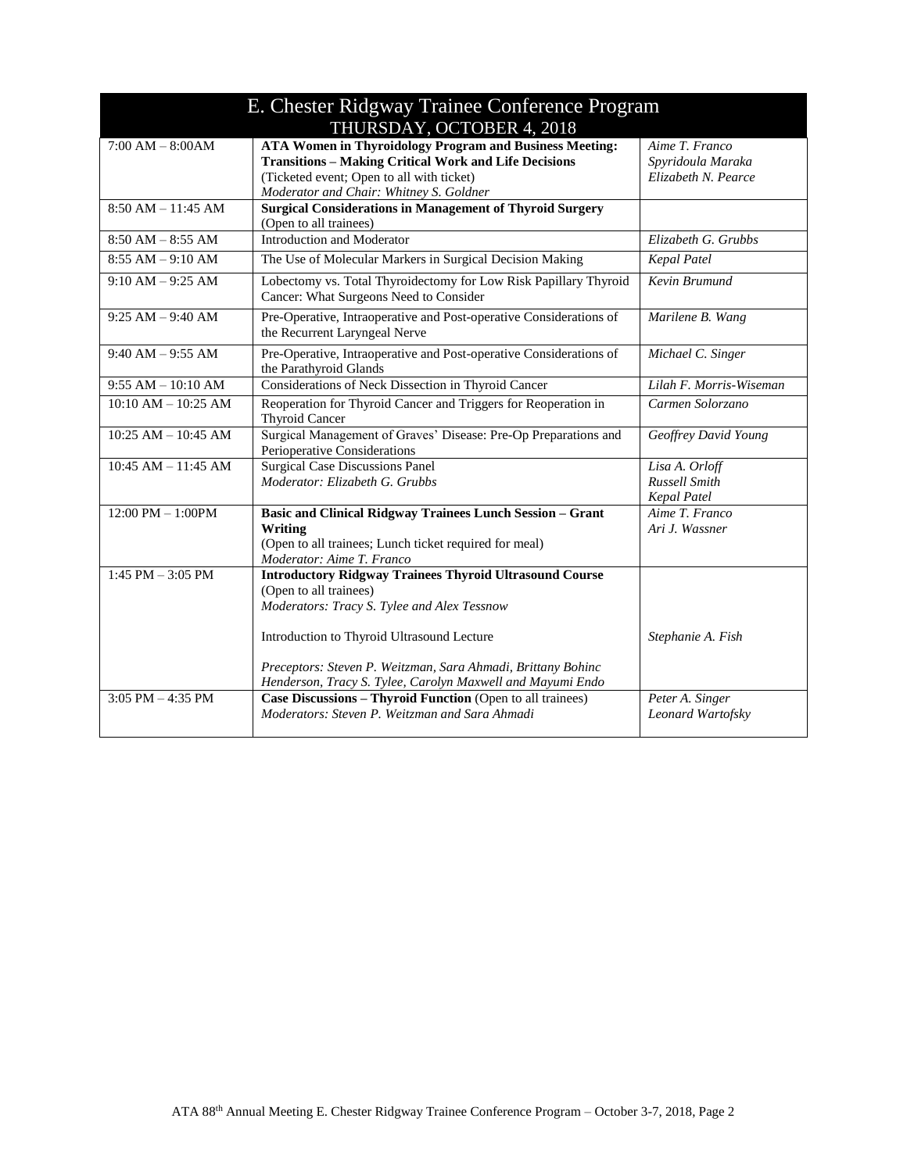| E. Chester Ridgway Trainee Conference Program |                                                                                                                                                                                                                                                       |                                                              |  |  |
|-----------------------------------------------|-------------------------------------------------------------------------------------------------------------------------------------------------------------------------------------------------------------------------------------------------------|--------------------------------------------------------------|--|--|
| THURSDAY, OCTOBER 4, 2018                     |                                                                                                                                                                                                                                                       |                                                              |  |  |
| $7:00 AM - 8:00AM$                            | <b>ATA Women in Thyroidology Program and Business Meeting:</b><br><b>Transitions - Making Critical Work and Life Decisions</b><br>(Ticketed event; Open to all with ticket)<br>Moderator and Chair: Whitney S. Goldner                                | Aime T. Franco<br>Spyridoula Maraka<br>Elizabeth N. Pearce   |  |  |
| $8:50 AM - 11:45 AM$                          | <b>Surgical Considerations in Management of Thyroid Surgery</b><br>(Open to all trainees)                                                                                                                                                             |                                                              |  |  |
| $8:50$ AM $-8:55$ AM                          | Introduction and Moderator                                                                                                                                                                                                                            | Elizabeth G. Grubbs                                          |  |  |
| $8:55$ AM $-9:10$ AM                          | The Use of Molecular Markers in Surgical Decision Making                                                                                                                                                                                              | <b>Kepal Patel</b>                                           |  |  |
| $9:10 AM - 9:25 AM$                           | Lobectomy vs. Total Thyroidectomy for Low Risk Papillary Thyroid<br>Cancer: What Surgeons Need to Consider                                                                                                                                            | Kevin Brumund                                                |  |  |
| $9:25 AM - 9:40 AM$                           | Pre-Operative, Intraoperative and Post-operative Considerations of<br>the Recurrent Laryngeal Nerve                                                                                                                                                   | Marilene B. Wang                                             |  |  |
| $9:40$ AM $-9:55$ AM                          | Pre-Operative, Intraoperative and Post-operative Considerations of<br>the Parathyroid Glands                                                                                                                                                          | Michael C. Singer                                            |  |  |
| $9:55 AM - 10:10 AM$                          | Considerations of Neck Dissection in Thyroid Cancer                                                                                                                                                                                                   | Lilah F. Morris-Wiseman                                      |  |  |
| $10:10$ AM $- 10:25$ AM                       | Reoperation for Thyroid Cancer and Triggers for Reoperation in<br><b>Thyroid Cancer</b>                                                                                                                                                               | Carmen Solorzano                                             |  |  |
| $10:25$ AM $- 10:45$ AM                       | Surgical Management of Graves' Disease: Pre-Op Preparations and<br>Perioperative Considerations                                                                                                                                                       | Geoffrey David Young                                         |  |  |
| $10:45$ AM $- 11:45$ AM                       | <b>Surgical Case Discussions Panel</b><br>Moderator: Elizabeth G. Grubbs                                                                                                                                                                              | Lisa A. Orloff<br><b>Russell Smith</b><br><b>Kepal Patel</b> |  |  |
| $12:00$ PM $- 1:00$ PM                        | <b>Basic and Clinical Ridgway Trainees Lunch Session - Grant</b><br>Writing<br>(Open to all trainees; Lunch ticket required for meal)<br>Moderator: Aime T. Franco                                                                                    | Aime T. Franco<br>Ari J. Wassner                             |  |  |
| $1:45$ PM $- 3:05$ PM                         | <b>Introductory Ridgway Trainees Thyroid Ultrasound Course</b><br>(Open to all trainees)<br>Moderators: Tracy S. Tylee and Alex Tessnow<br>Introduction to Thyroid Ultrasound Lecture<br>Preceptors: Steven P. Weitzman, Sara Ahmadi, Brittany Bohinc | Stephanie A. Fish                                            |  |  |
|                                               | Henderson, Tracy S. Tylee, Carolyn Maxwell and Mayumi Endo                                                                                                                                                                                            |                                                              |  |  |
| $3:05$ PM $-4:35$ PM                          | Case Discussions - Thyroid Function (Open to all trainees)<br>Moderators: Steven P. Weitzman and Sara Ahmadi                                                                                                                                          | Peter A. Singer<br>Leonard Wartofsky                         |  |  |